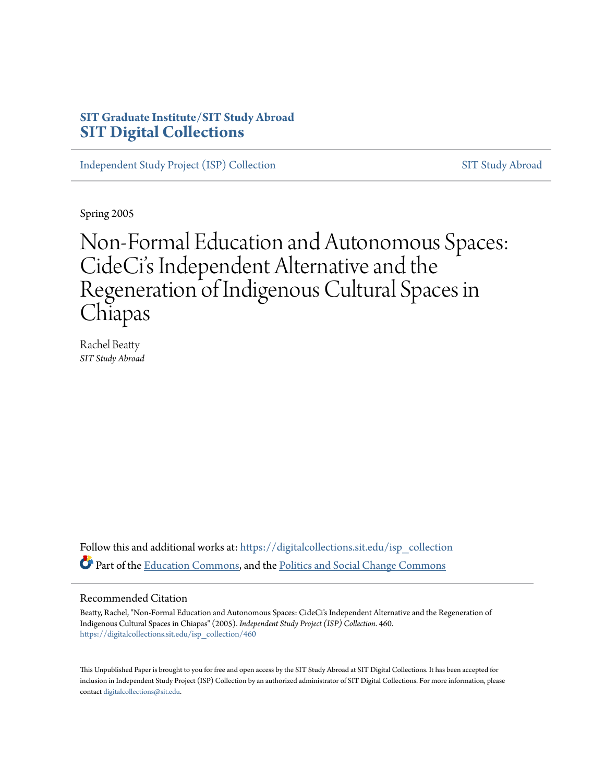### **SIT Graduate Institute/SIT Study Abroad [SIT Digital Collections](https://digitalcollections.sit.edu?utm_source=digitalcollections.sit.edu%2Fisp_collection%2F460&utm_medium=PDF&utm_campaign=PDFCoverPages)**

[Independent Study Project \(ISP\) Collection](https://digitalcollections.sit.edu/isp_collection?utm_source=digitalcollections.sit.edu%2Fisp_collection%2F460&utm_medium=PDF&utm_campaign=PDFCoverPages) [SIT Study Abroad](https://digitalcollections.sit.edu/study_abroad?utm_source=digitalcollections.sit.edu%2Fisp_collection%2F460&utm_medium=PDF&utm_campaign=PDFCoverPages)

Spring 2005

# Non-Formal Education and Autonomous Spaces: CideCi's Independent Alternative and the Regeneration of Indigenous Cultural Spaces in Chiapas

Rachel Beatty *SIT Study Abroad*

Follow this and additional works at: [https://digitalcollections.sit.edu/isp\\_collection](https://digitalcollections.sit.edu/isp_collection?utm_source=digitalcollections.sit.edu%2Fisp_collection%2F460&utm_medium=PDF&utm_campaign=PDFCoverPages) Part of the [Education Commons](http://network.bepress.com/hgg/discipline/784?utm_source=digitalcollections.sit.edu%2Fisp_collection%2F460&utm_medium=PDF&utm_campaign=PDFCoverPages), and the [Politics and Social Change Commons](http://network.bepress.com/hgg/discipline/425?utm_source=digitalcollections.sit.edu%2Fisp_collection%2F460&utm_medium=PDF&utm_campaign=PDFCoverPages)

#### Recommended Citation

Beatty, Rachel, "Non-Formal Education and Autonomous Spaces: CideCi's Independent Alternative and the Regeneration of Indigenous Cultural Spaces in Chiapas" (2005). *Independent Study Project (ISP) Collection*. 460. [https://digitalcollections.sit.edu/isp\\_collection/460](https://digitalcollections.sit.edu/isp_collection/460?utm_source=digitalcollections.sit.edu%2Fisp_collection%2F460&utm_medium=PDF&utm_campaign=PDFCoverPages)

This Unpublished Paper is brought to you for free and open access by the SIT Study Abroad at SIT Digital Collections. It has been accepted for inclusion in Independent Study Project (ISP) Collection by an authorized administrator of SIT Digital Collections. For more information, please contact [digitalcollections@sit.edu](mailto:digitalcollections@sit.edu).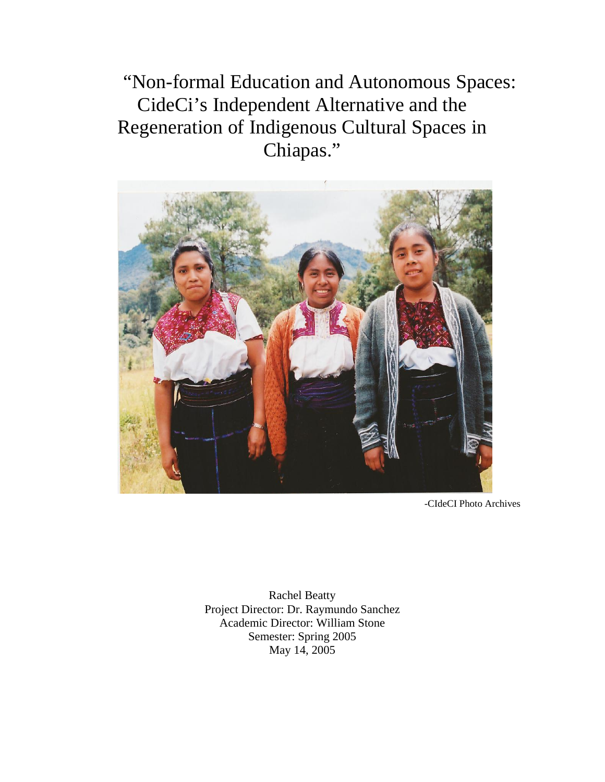"Non-formal Education and Autonomous Spaces: CideCi's Independent Alternative and the Regeneration of Indigenous Cultural Spaces in Chiapas."



-CIdeCI Photo Archives

Rachel Beatty Project Director: Dr. Raymundo Sanchez Academic Director: William Stone Semester: Spring 2005 May 14, 2005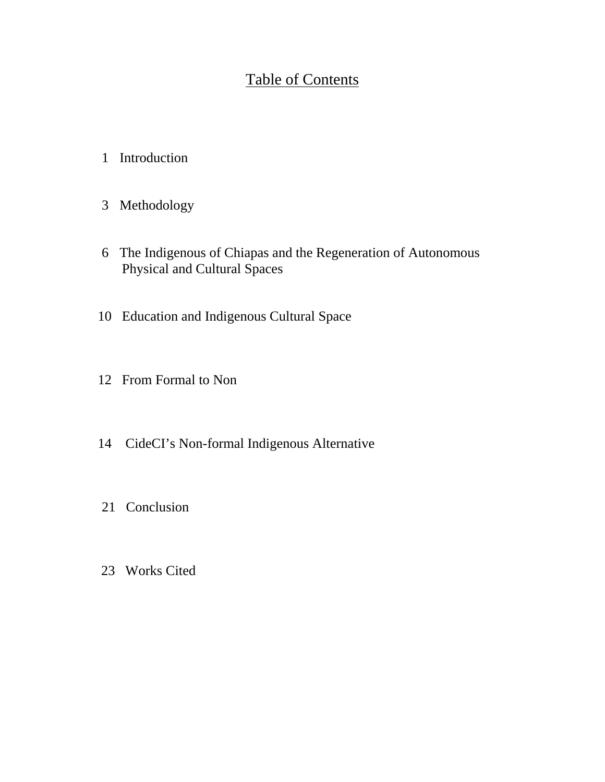## Table of Contents

- 1 Introduction
- 3 Methodology
- 6 The Indigenous of Chiapas and the Regeneration of Autonomous Physical and Cultural Spaces
- 10 Education and Indigenous Cultural Space
- 12 From Formal to Non
- 14 CideCI's Non-formal Indigenous Alternative
- 21 Conclusion
- 23 Works Cited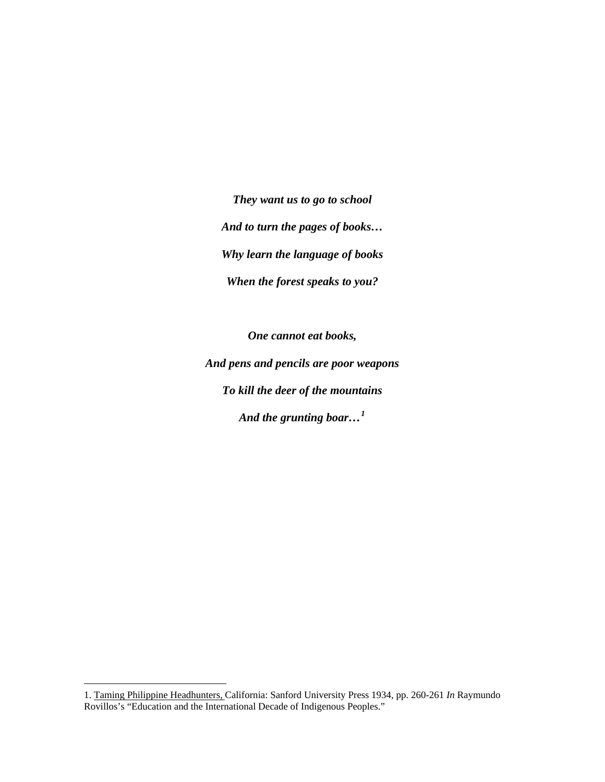*They want us to go to school And to turn the pages of books… Why learn the language of books When the forest speaks to you?* 

*One cannot eat books, And pens and pencils are poor weapons To kill the deer of the mountains And the grunting boar…[1](#page-3-0)*

<span id="page-3-0"></span><sup>1.</sup> Taming Philippine Headhunters, California: Sanford University Press 1934, pp. 260-261 *In* Raymundo Rovillos's "Education and the International Decade of Indigenous Peoples."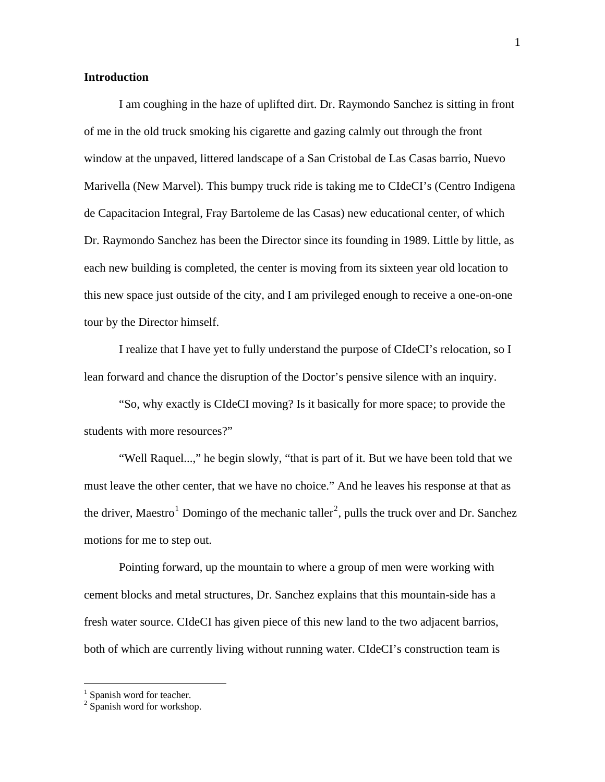#### **Introduction**

I am coughing in the haze of uplifted dirt. Dr. Raymondo Sanchez is sitting in front of me in the old truck smoking his cigarette and gazing calmly out through the front window at the unpaved, littered landscape of a San Cristobal de Las Casas barrio, Nuevo Marivella (New Marvel). This bumpy truck ride is taking me to CIdeCI's (Centro Indigena de Capacitacion Integral, Fray Bartoleme de las Casas) new educational center, of which Dr. Raymondo Sanchez has been the Director since its founding in 1989. Little by little, as each new building is completed, the center is moving from its sixteen year old location to this new space just outside of the city, and I am privileged enough to receive a one-on-one tour by the Director himself.

I realize that I have yet to fully understand the purpose of CIdeCI's relocation, so I lean forward and chance the disruption of the Doctor's pensive silence with an inquiry.

 "So, why exactly is CIdeCI moving? Is it basically for more space; to provide the students with more resources?"

 "Well Raquel...," he begin slowly, "that is part of it. But we have been told that we must leave the other center, that we have no choice." And he leaves his response at that as the driver, Maestro<sup>[1](#page-4-0)</sup> Domingo of the mechanic taller<sup>[2](#page-4-1)</sup>, pulls the truck over and Dr. Sanchez motions for me to step out.

Pointing forward, up the mountain to where a group of men were working with cement blocks and metal structures, Dr. Sanchez explains that this mountain-side has a fresh water source. CIdeCI has given piece of this new land to the two adjacent barrios, both of which are currently living without running water. CIdeCI's construction team is

<span id="page-4-0"></span><sup>&</sup>lt;sup>1</sup> Spanish word for teacher.

<span id="page-4-1"></span><sup>&</sup>lt;sup>2</sup> Spanish word for workshop.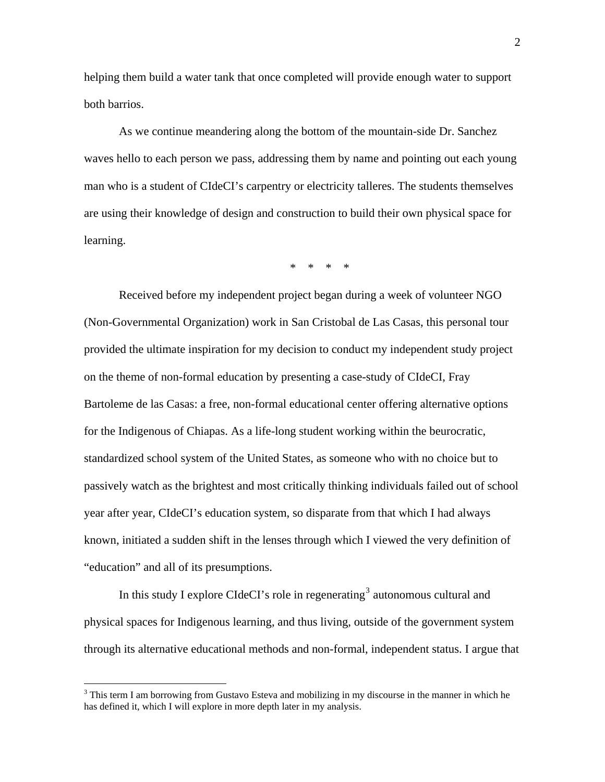helping them build a water tank that once completed will provide enough water to support both barrios.

As we continue meandering along the bottom of the mountain-side Dr. Sanchez waves hello to each person we pass, addressing them by name and pointing out each young man who is a student of CIdeCI's carpentry or electricity talleres. The students themselves are using their knowledge of design and construction to build their own physical space for learning.

\* \* \* \*

Received before my independent project began during a week of volunteer NGO (Non-Governmental Organization) work in San Cristobal de Las Casas, this personal tour provided the ultimate inspiration for my decision to conduct my independent study project on the theme of non-formal education by presenting a case-study of CIdeCI, Fray Bartoleme de las Casas: a free, non-formal educational center offering alternative options for the Indigenous of Chiapas. As a life-long student working within the beurocratic, standardized school system of the United States, as someone who with no choice but to passively watch as the brightest and most critically thinking individuals failed out of school year after year, CIdeCI's education system, so disparate from that which I had always known, initiated a sudden shift in the lenses through which I viewed the very definition of "education" and all of its presumptions.

In this study I explore CIdeCI's role in regenerating<sup>[3](#page-5-0)</sup> autonomous cultural and physical spaces for Indigenous learning, and thus living, outside of the government system through its alternative educational methods and non-formal, independent status. I argue that

<span id="page-5-0"></span><sup>&</sup>lt;sup>3</sup> This term I am borrowing from Gustavo Esteva and mobilizing in my discourse in the manner in which he has defined it, which I will explore in more depth later in my analysis.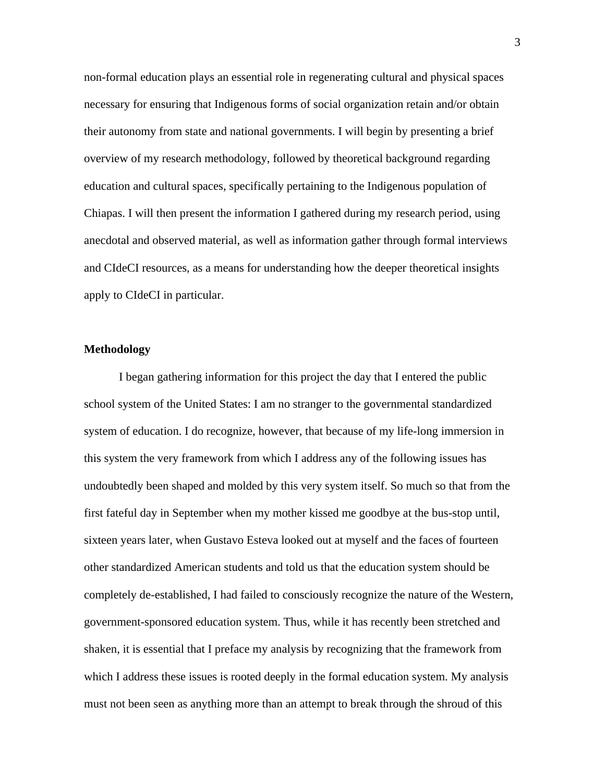non-formal education plays an essential role in regenerating cultural and physical spaces necessary for ensuring that Indigenous forms of social organization retain and/or obtain their autonomy from state and national governments. I will begin by presenting a brief overview of my research methodology, followed by theoretical background regarding education and cultural spaces, specifically pertaining to the Indigenous population of Chiapas. I will then present the information I gathered during my research period, using anecdotal and observed material, as well as information gather through formal interviews and CIdeCI resources, as a means for understanding how the deeper theoretical insights apply to CIdeCI in particular.

#### **Methodology**

I began gathering information for this project the day that I entered the public school system of the United States: I am no stranger to the governmental standardized system of education. I do recognize, however, that because of my life-long immersion in this system the very framework from which I address any of the following issues has undoubtedly been shaped and molded by this very system itself. So much so that from the first fateful day in September when my mother kissed me goodbye at the bus-stop until, sixteen years later, when Gustavo Esteva looked out at myself and the faces of fourteen other standardized American students and told us that the education system should be completely de-established, I had failed to consciously recognize the nature of the Western, government-sponsored education system. Thus, while it has recently been stretched and shaken, it is essential that I preface my analysis by recognizing that the framework from which I address these issues is rooted deeply in the formal education system. My analysis must not been seen as anything more than an attempt to break through the shroud of this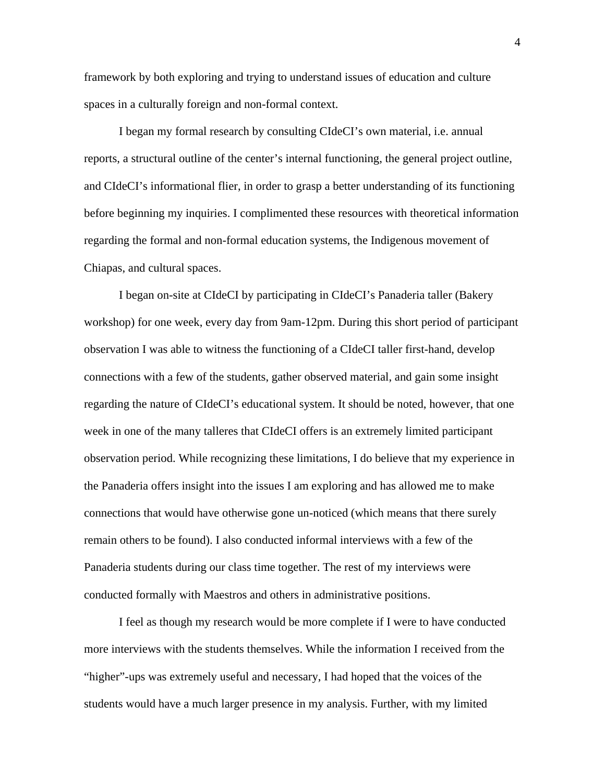framework by both exploring and trying to understand issues of education and culture spaces in a culturally foreign and non-formal context.

I began my formal research by consulting CIdeCI's own material, i.e. annual reports, a structural outline of the center's internal functioning, the general project outline, and CIdeCI's informational flier, in order to grasp a better understanding of its functioning before beginning my inquiries. I complimented these resources with theoretical information regarding the formal and non-formal education systems, the Indigenous movement of Chiapas, and cultural spaces.

I began on-site at CIdeCI by participating in CIdeCI's Panaderia taller (Bakery workshop) for one week, every day from 9am-12pm. During this short period of participant observation I was able to witness the functioning of a CIdeCI taller first-hand, develop connections with a few of the students, gather observed material, and gain some insight regarding the nature of CIdeCI's educational system. It should be noted, however, that one week in one of the many talleres that CIdeCI offers is an extremely limited participant observation period. While recognizing these limitations, I do believe that my experience in the Panaderia offers insight into the issues I am exploring and has allowed me to make connections that would have otherwise gone un-noticed (which means that there surely remain others to be found). I also conducted informal interviews with a few of the Panaderia students during our class time together. The rest of my interviews were conducted formally with Maestros and others in administrative positions.

I feel as though my research would be more complete if I were to have conducted more interviews with the students themselves. While the information I received from the "higher"-ups was extremely useful and necessary, I had hoped that the voices of the students would have a much larger presence in my analysis. Further, with my limited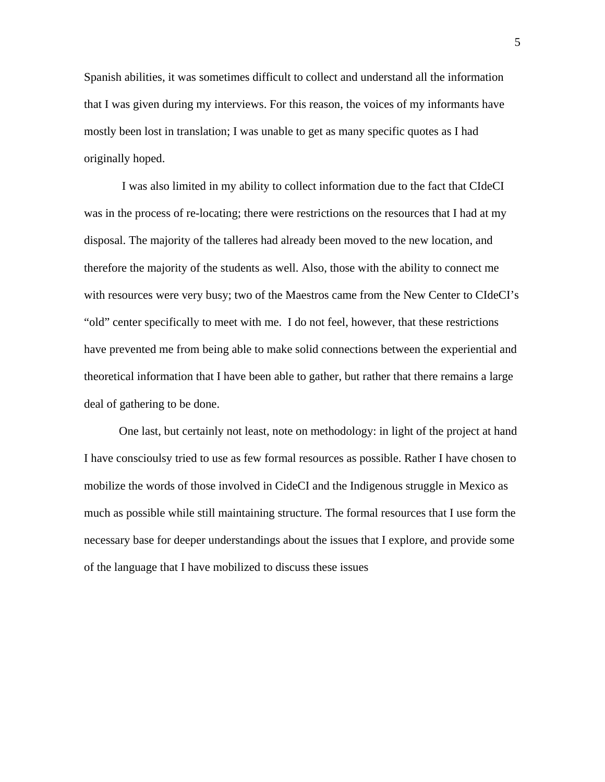Spanish abilities, it was sometimes difficult to collect and understand all the information that I was given during my interviews. For this reason, the voices of my informants have mostly been lost in translation; I was unable to get as many specific quotes as I had originally hoped.

 I was also limited in my ability to collect information due to the fact that CIdeCI was in the process of re-locating; there were restrictions on the resources that I had at my disposal. The majority of the talleres had already been moved to the new location, and therefore the majority of the students as well. Also, those with the ability to connect me with resources were very busy; two of the Maestros came from the New Center to CIdeCI's "old" center specifically to meet with me. I do not feel, however, that these restrictions have prevented me from being able to make solid connections between the experiential and theoretical information that I have been able to gather, but rather that there remains a large deal of gathering to be done.

One last, but certainly not least, note on methodology: in light of the project at hand I have conscioulsy tried to use as few formal resources as possible. Rather I have chosen to mobilize the words of those involved in CideCI and the Indigenous struggle in Mexico as much as possible while still maintaining structure. The formal resources that I use form the necessary base for deeper understandings about the issues that I explore, and provide some of the language that I have mobilized to discuss these issues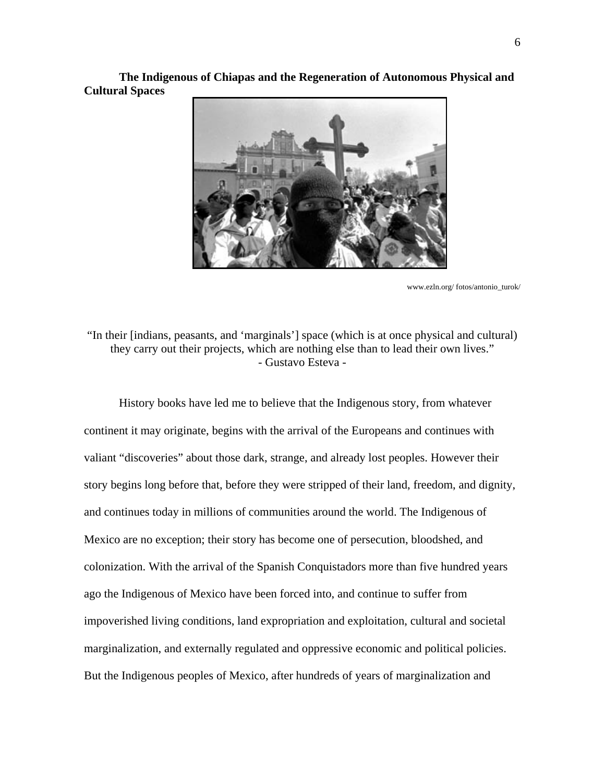**The Indigenous of Chiapas and the Regeneration of Autonomous Physical and Cultural Spaces** 



www.ezln.org/ fotos/antonio\_turok/

"In their [indians, peasants, and 'marginals'] space (which is at once physical and cultural) they carry out their projects, which are nothing else than to lead their own lives." - Gustavo Esteva -

History books have led me to believe that the Indigenous story, from whatever continent it may originate, begins with the arrival of the Europeans and continues with valiant "discoveries" about those dark, strange, and already lost peoples. However their story begins long before that, before they were stripped of their land, freedom, and dignity, and continues today in millions of communities around the world. The Indigenous of Mexico are no exception; their story has become one of persecution, bloodshed, and colonization. With the arrival of the Spanish Conquistadors more than five hundred years ago the Indigenous of Mexico have been forced into, and continue to suffer from impoverished living conditions, land expropriation and exploitation, cultural and societal marginalization, and externally regulated and oppressive economic and political policies. But the Indigenous peoples of Mexico, after hundreds of years of marginalization and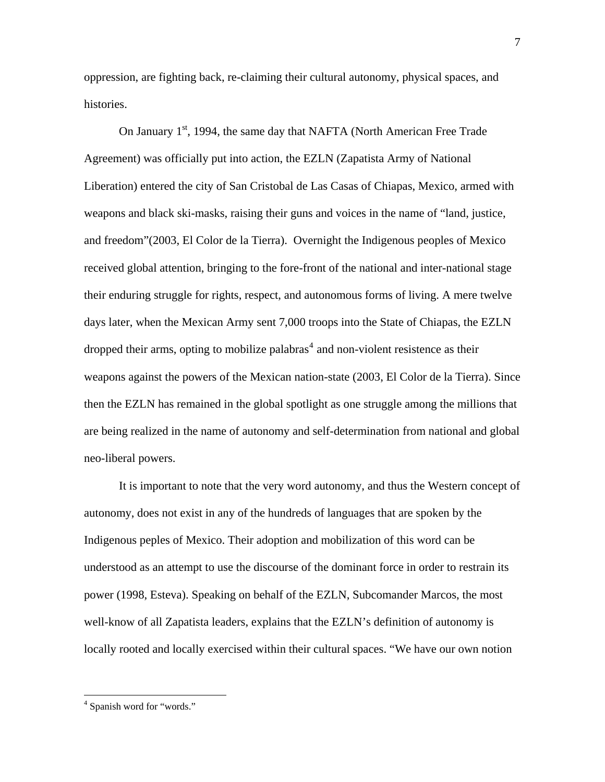oppression, are fighting back, re-claiming their cultural autonomy, physical spaces, and histories.

On January 1<sup>st</sup>, 1994, the same day that NAFTA (North American Free Trade Agreement) was officially put into action, the EZLN (Zapatista Army of National Liberation) entered the city of San Cristobal de Las Casas of Chiapas, Mexico, armed with weapons and black ski-masks, raising their guns and voices in the name of "land, justice, and freedom"(2003, El Color de la Tierra). Overnight the Indigenous peoples of Mexico received global attention, bringing to the fore-front of the national and inter-national stage their enduring struggle for rights, respect, and autonomous forms of living. A mere twelve days later, when the Mexican Army sent 7,000 troops into the State of Chiapas, the EZLN dropped their arms, opting to mobilize palabras<sup>[4](#page-10-0)</sup> and non-violent resistence as their weapons against the powers of the Mexican nation-state (2003, El Color de la Tierra). Since then the EZLN has remained in the global spotlight as one struggle among the millions that are being realized in the name of autonomy and self-determination from national and global neo-liberal powers.

It is important to note that the very word autonomy, and thus the Western concept of autonomy, does not exist in any of the hundreds of languages that are spoken by the Indigenous peples of Mexico. Their adoption and mobilization of this word can be understood as an attempt to use the discourse of the dominant force in order to restrain its power (1998, Esteva). Speaking on behalf of the EZLN, Subcomander Marcos, the most well-know of all Zapatista leaders, explains that the EZLN's definition of autonomy is locally rooted and locally exercised within their cultural spaces. "We have our own notion

<span id="page-10-0"></span><sup>4</sup> Spanish word for "words."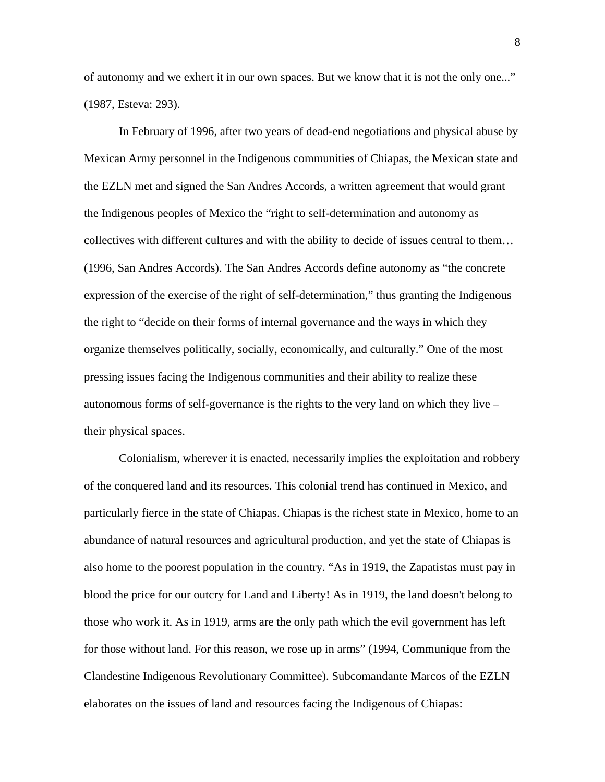of autonomy and we exhert it in our own spaces. But we know that it is not the only one..." (1987, Esteva: 293).

In February of 1996, after two years of dead-end negotiations and physical abuse by Mexican Army personnel in the Indigenous communities of Chiapas, the Mexican state and the EZLN met and signed the San Andres Accords, a written agreement that would grant the Indigenous peoples of Mexico the "right to self-determination and autonomy as collectives with different cultures and with the ability to decide of issues central to them… (1996, San Andres Accords). The San Andres Accords define autonomy as "the concrete expression of the exercise of the right of self-determination," thus granting the Indigenous the right to "decide on their forms of internal governance and the ways in which they organize themselves politically, socially, economically, and culturally." One of the most pressing issues facing the Indigenous communities and their ability to realize these autonomous forms of self-governance is the rights to the very land on which they live – their physical spaces.

Colonialism, wherever it is enacted, necessarily implies the exploitation and robbery of the conquered land and its resources. This colonial trend has continued in Mexico, and particularly fierce in the state of Chiapas. Chiapas is the richest state in Mexico, home to an abundance of natural resources and agricultural production, and yet the state of Chiapas is also home to the poorest population in the country. "As in 1919, the Zapatistas must pay in blood the price for our outcry for Land and Liberty! As in 1919, the land doesn't belong to those who work it. As in 1919, arms are the only path which the evil government has left for those without land. For this reason, we rose up in arms" (1994, Communique from the Clandestine Indigenous Revolutionary Committee). Subcomandante Marcos of the EZLN elaborates on the issues of land and resources facing the Indigenous of Chiapas: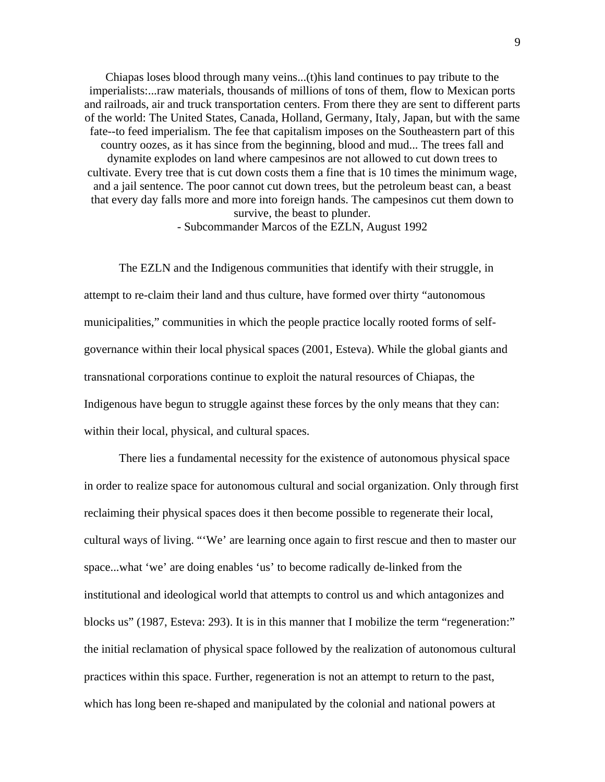Chiapas loses blood through many veins...(t)his land continues to pay tribute to the imperialists:...raw materials, thousands of millions of tons of them, flow to Mexican ports and railroads, air and truck transportation centers. From there they are sent to different parts of the world: The United States, Canada, Holland, Germany, Italy, Japan, but with the same fate--to feed imperialism. The fee that capitalism imposes on the Southeastern part of this country oozes, as it has since from the beginning, blood and mud... The trees fall and dynamite explodes on land where campesinos are not allowed to cut down trees to cultivate. Every tree that is cut down costs them a fine that is 10 times the minimum wage, and a jail sentence. The poor cannot cut down trees, but the petroleum beast can, a beast that every day falls more and more into foreign hands. The campesinos cut them down to survive, the beast to plunder.

- Subcommander Marcos of the EZLN, August 1992

The EZLN and the Indigenous communities that identify with their struggle, in attempt to re-claim their land and thus culture, have formed over thirty "autonomous municipalities," communities in which the people practice locally rooted forms of selfgovernance within their local physical spaces (2001, Esteva). While the global giants and transnational corporations continue to exploit the natural resources of Chiapas, the Indigenous have begun to struggle against these forces by the only means that they can: within their local, physical, and cultural spaces.

There lies a fundamental necessity for the existence of autonomous physical space in order to realize space for autonomous cultural and social organization. Only through first reclaiming their physical spaces does it then become possible to regenerate their local, cultural ways of living. "'We' are learning once again to first rescue and then to master our space...what 'we' are doing enables 'us' to become radically de-linked from the institutional and ideological world that attempts to control us and which antagonizes and blocks us" (1987, Esteva: 293). It is in this manner that I mobilize the term "regeneration:" the initial reclamation of physical space followed by the realization of autonomous cultural practices within this space. Further, regeneration is not an attempt to return to the past, which has long been re-shaped and manipulated by the colonial and national powers at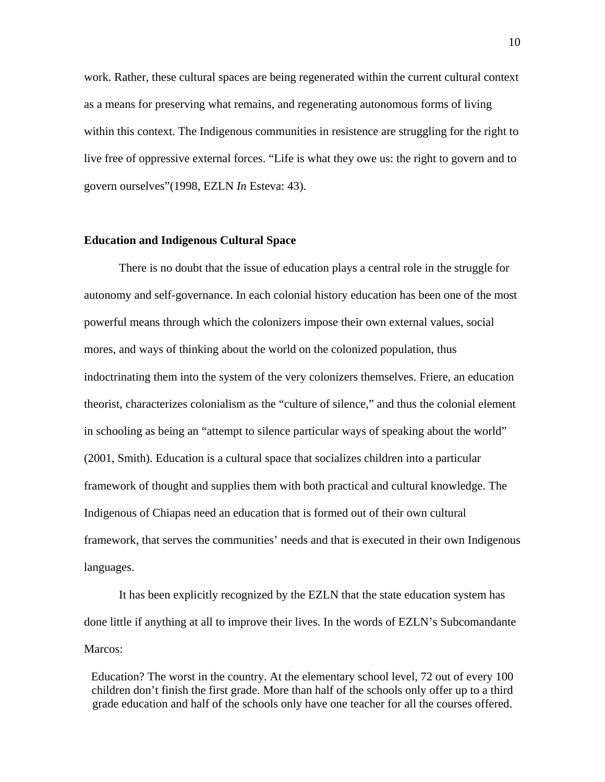work. Rather, these cultural spaces are being regenerated within the current cultural context as a means for preserving what remains, and regenerating autonomous forms of living within this context. The Indigenous communities in resistence are struggling for the right to live free of oppressive external forces. "Life is what they owe us: the right to govern and to govern ourselves"(1998, EZLN *In* Esteva: 43).

#### **Education and Indigenous Cultural Space**

There is no doubt that the issue of education plays a central role in the struggle for autonomy and self-governance. In each colonial history education has been one of the most powerful means through which the colonizers impose their own external values, social mores, and ways of thinking about the world on the colonized population, thus indoctrinating them into the system of the very colonizers themselves. Friere, an education theorist, characterizes colonialism as the "culture of silence," and thus the colonial element in schooling as being an "attempt to silence particular ways of speaking about the world" (2001, Smith). Education is a cultural space that socializes children into a particular framework of thought and supplies them with both practical and cultural knowledge. The Indigenous of Chiapas need an education that is formed out of their own cultural framework, that serves the communities' needs and that is executed in their own Indigenous languages.

It has been explicitly recognized by the EZLN that the state education system has done little if anything at all to improve their lives. In the words of EZLN's Subcomandante Marcos:

Education? The worst in the country. At the elementary school level, 72 out of every 100 children don't finish the first grade. More than half of the schools only offer up to a third grade education and half of the schools only have one teacher for all the courses offered.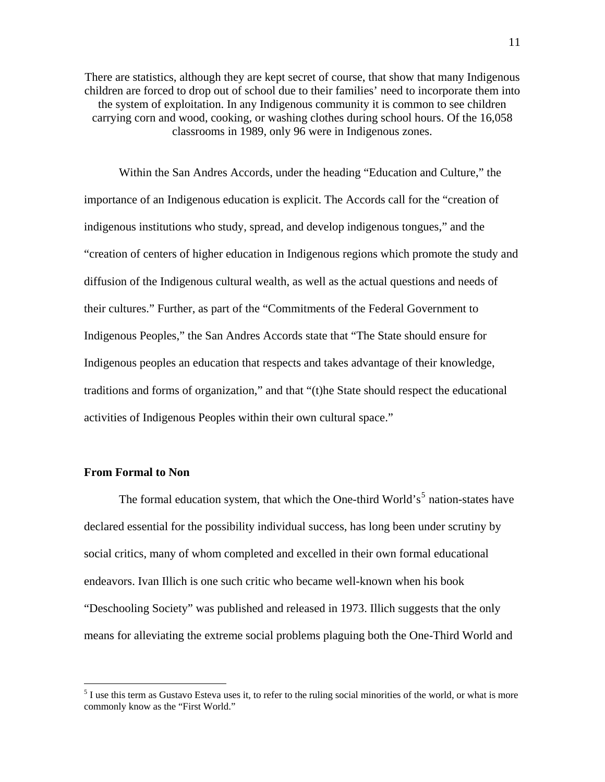There are statistics, although they are kept secret of course, that show that many Indigenous children are forced to drop out of school due to their families' need to incorporate them into the system of exploitation. In any Indigenous community it is common to see children carrying corn and wood, cooking, or washing clothes during school hours. Of the 16,058 classrooms in 1989, only 96 were in Indigenous zones.

Within the San Andres Accords, under the heading "Education and Culture," the importance of an Indigenous education is explicit. The Accords call for the "creation of indigenous institutions who study, spread, and develop indigenous tongues," and the "creation of centers of higher education in Indigenous regions which promote the study and diffusion of the Indigenous cultural wealth, as well as the actual questions and needs of their cultures." Further, as part of the "Commitments of the Federal Government to Indigenous Peoples," the San Andres Accords state that "The State should ensure for Indigenous peoples an education that respects and takes advantage of their knowledge, traditions and forms of organization," and that "(t)he State should respect the educational activities of Indigenous Peoples within their own cultural space."

#### **From Formal to Non**

1

The formal education system, that which the One-third World's<sup>[5](#page-14-0)</sup> nation-states have declared essential for the possibility individual success, has long been under scrutiny by social critics, many of whom completed and excelled in their own formal educational endeavors. Ivan Illich is one such critic who became well-known when his book "Deschooling Society" was published and released in 1973. Illich suggests that the only means for alleviating the extreme social problems plaguing both the One-Third World and

<span id="page-14-0"></span> $<sup>5</sup>$  I use this term as Gustavo Esteva uses it, to refer to the ruling social minorities of the world, or what is more</sup> commonly know as the "First World."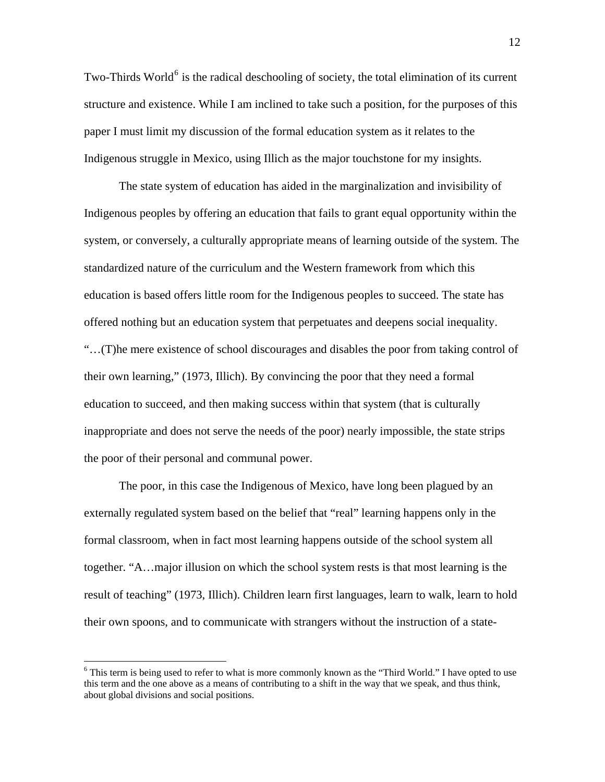Two-Thirds World<sup>[6](#page-15-0)</sup> is the radical deschooling of society, the total elimination of its current structure and existence. While I am inclined to take such a position, for the purposes of this paper I must limit my discussion of the formal education system as it relates to the Indigenous struggle in Mexico, using Illich as the major touchstone for my insights.

The state system of education has aided in the marginalization and invisibility of Indigenous peoples by offering an education that fails to grant equal opportunity within the system, or conversely, a culturally appropriate means of learning outside of the system. The standardized nature of the curriculum and the Western framework from which this education is based offers little room for the Indigenous peoples to succeed. The state has offered nothing but an education system that perpetuates and deepens social inequality. "…(T)he mere existence of school discourages and disables the poor from taking control of their own learning," (1973, Illich). By convincing the poor that they need a formal education to succeed, and then making success within that system (that is culturally inappropriate and does not serve the needs of the poor) nearly impossible, the state strips the poor of their personal and communal power.

The poor, in this case the Indigenous of Mexico, have long been plagued by an externally regulated system based on the belief that "real" learning happens only in the formal classroom, when in fact most learning happens outside of the school system all together. "A…major illusion on which the school system rests is that most learning is the result of teaching" (1973, Illich). Children learn first languages, learn to walk, learn to hold their own spoons, and to communicate with strangers without the instruction of a state-

<span id="page-15-0"></span><sup>&</sup>lt;sup>6</sup> This term is being used to refer to what is more commonly known as the "Third World." I have opted to use this term and the one above as a means of contributing to a shift in the way that we speak, and thus think, about global divisions and social positions.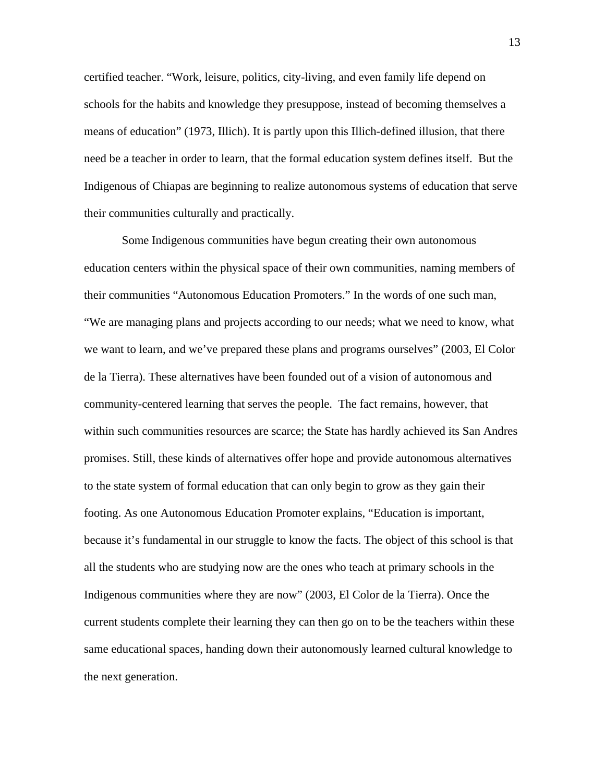certified teacher. "Work, leisure, politics, city-living, and even family life depend on schools for the habits and knowledge they presuppose, instead of becoming themselves a means of education" (1973, Illich). It is partly upon this Illich-defined illusion, that there need be a teacher in order to learn, that the formal education system defines itself. But the Indigenous of Chiapas are beginning to realize autonomous systems of education that serve their communities culturally and practically.

Some Indigenous communities have begun creating their own autonomous education centers within the physical space of their own communities, naming members of their communities "Autonomous Education Promoters." In the words of one such man, "We are managing plans and projects according to our needs; what we need to know, what we want to learn, and we've prepared these plans and programs ourselves" (2003, El Color de la Tierra). These alternatives have been founded out of a vision of autonomous and community-centered learning that serves the people. The fact remains, however, that within such communities resources are scarce; the State has hardly achieved its San Andres promises. Still, these kinds of alternatives offer hope and provide autonomous alternatives to the state system of formal education that can only begin to grow as they gain their footing. As one Autonomous Education Promoter explains, "Education is important, because it's fundamental in our struggle to know the facts. The object of this school is that all the students who are studying now are the ones who teach at primary schools in the Indigenous communities where they are now" (2003, El Color de la Tierra). Once the current students complete their learning they can then go on to be the teachers within these same educational spaces, handing down their autonomously learned cultural knowledge to the next generation.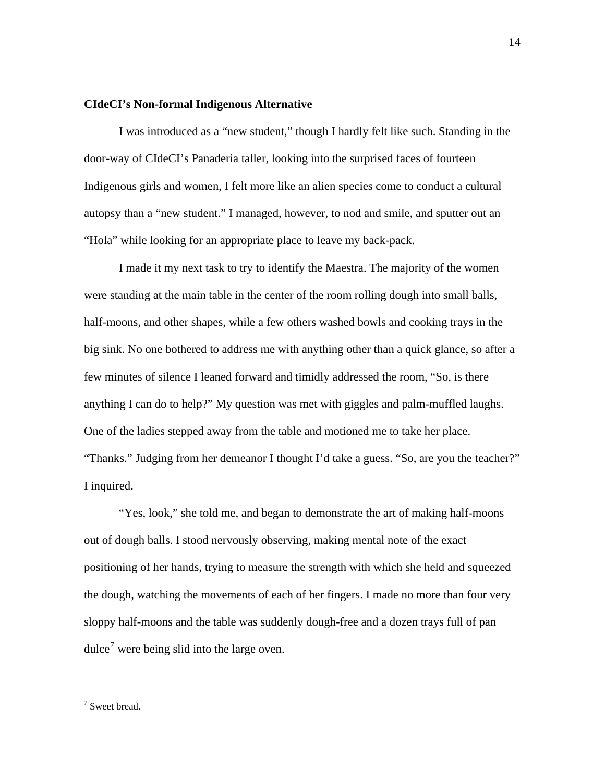#### **CIdeCI's Non-formal Indigenous Alternative**

I was introduced as a "new student," though I hardly felt like such. Standing in the door-way of CIdeCI's Panaderia taller, looking into the surprised faces of fourteen Indigenous girls and women, I felt more like an alien species come to conduct a cultural autopsy than a "new student." I managed, however, to nod and smile, and sputter out an "Hola" while looking for an appropriate place to leave my back-pack.

I made it my next task to try to identify the Maestra. The majority of the women were standing at the main table in the center of the room rolling dough into small balls, half-moons, and other shapes, while a few others washed bowls and cooking trays in the big sink. No one bothered to address me with anything other than a quick glance, so after a few minutes of silence I leaned forward and timidly addressed the room, "So, is there anything I can do to help?" My question was met with giggles and palm-muffled laughs. One of the ladies stepped away from the table and motioned me to take her place. "Thanks." Judging from her demeanor I thought I'd take a guess. "So, are you the teacher?" I inquired.

"Yes, look," she told me, and began to demonstrate the art of making half-moons out of dough balls. I stood nervously observing, making mental note of the exact positioning of her hands, trying to measure the strength with which she held and squeezed the dough, watching the movements of each of her fingers. I made no more than four very sloppy half-moons and the table was suddenly dough-free and a dozen trays full of pan dulce<sup>[7](#page-17-0)</sup> were being slid into the large oven.

<span id="page-17-0"></span> 7 Sweet bread.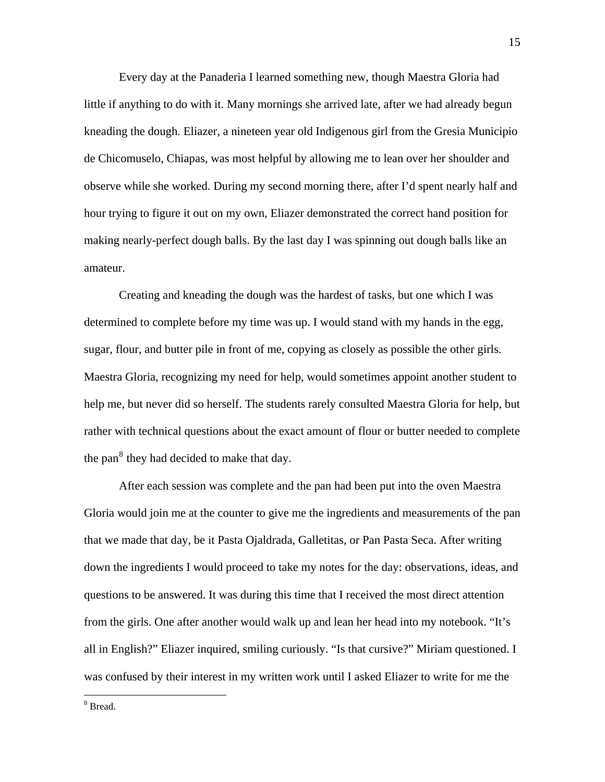Every day at the Panaderia I learned something new, though Maestra Gloria had little if anything to do with it. Many mornings she arrived late, after we had already begun kneading the dough. Eliazer, a nineteen year old Indigenous girl from the Gresia Municipio de Chicomuselo, Chiapas, was most helpful by allowing me to lean over her shoulder and observe while she worked. During my second morning there, after I'd spent nearly half and hour trying to figure it out on my own, Eliazer demonstrated the correct hand position for making nearly-perfect dough balls. By the last day I was spinning out dough balls like an amateur.

Creating and kneading the dough was the hardest of tasks, but one which I was determined to complete before my time was up. I would stand with my hands in the egg, sugar, flour, and butter pile in front of me, copying as closely as possible the other girls. Maestra Gloria, recognizing my need for help, would sometimes appoint another student to help me, but never did so herself. The students rarely consulted Maestra Gloria for help, but rather with technical questions about the exact amount of flour or butter needed to complete the pan $^8$  $^8$  they had decided to make that day.

After each session was complete and the pan had been put into the oven Maestra Gloria would join me at the counter to give me the ingredients and measurements of the pan that we made that day, be it Pasta Ojaldrada, Galletitas, or Pan Pasta Seca. After writing down the ingredients I would proceed to take my notes for the day: observations, ideas, and questions to be answered. It was during this time that I received the most direct attention from the girls. One after another would walk up and lean her head into my notebook. "It's all in English?" Eliazer inquired, smiling curiously. "Is that cursive?" Miriam questioned. I was confused by their interest in my written work until I asked Eliazer to write for me the

<span id="page-18-0"></span>8 Bread.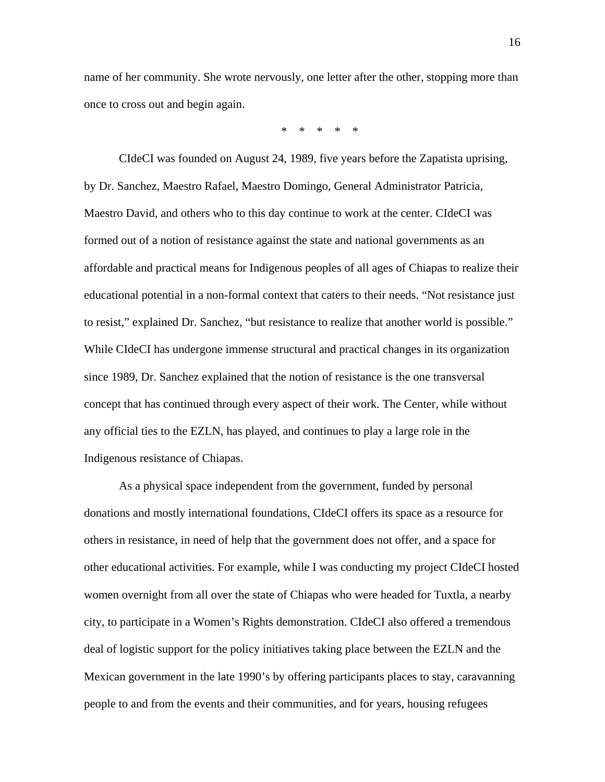name of her community. She wrote nervously, one letter after the other, stopping more than once to cross out and begin again.

\* \* \* \* \*

CIdeCI was founded on August 24, 1989, five years before the Zapatista uprising, by Dr. Sanchez, Maestro Rafael, Maestro Domingo, General Administrator Patricia, Maestro David, and others who to this day continue to work at the center. CIdeCI was formed out of a notion of resistance against the state and national governments as an affordable and practical means for Indigenous peoples of all ages of Chiapas to realize their educational potential in a non-formal context that caters to their needs. "Not resistance just to resist," explained Dr. Sanchez, "but resistance to realize that another world is possible." While CIdeCI has undergone immense structural and practical changes in its organization since 1989, Dr. Sanchez explained that the notion of resistance is the one transversal concept that has continued through every aspect of their work. The Center, while without any official ties to the EZLN, has played, and continues to play a large role in the Indigenous resistance of Chiapas.

As a physical space independent from the government, funded by personal donations and mostly international foundations, CIdeCI offers its space as a resource for others in resistance, in need of help that the government does not offer, and a space for other educational activities. For example, while I was conducting my project CIdeCI hosted women overnight from all over the state of Chiapas who were headed for Tuxtla, a nearby city, to participate in a Women's Rights demonstration. CIdeCI also offered a tremendous deal of logistic support for the policy initiatives taking place between the EZLN and the Mexican government in the late 1990's by offering participants places to stay, caravanning people to and from the events and their communities, and for years, housing refugees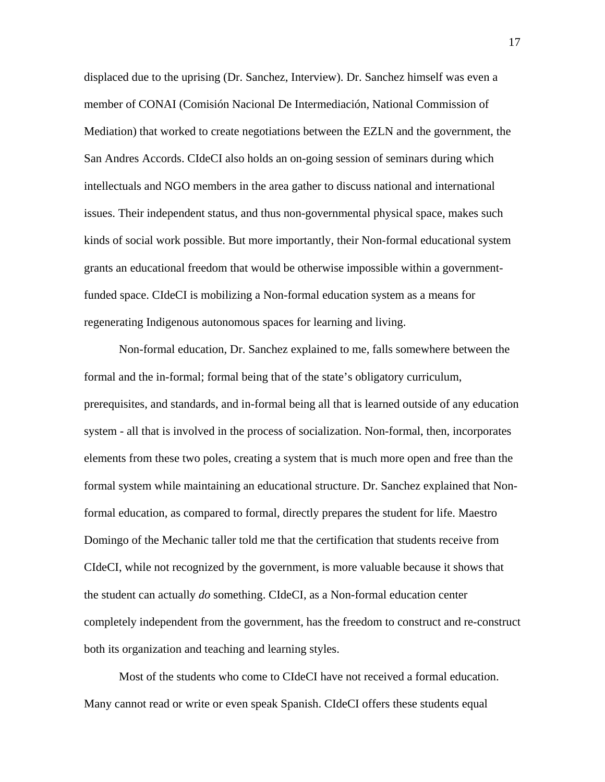displaced due to the uprising (Dr. Sanchez, Interview). Dr. Sanchez himself was even a member of CONAI (Comisión Nacional De Intermediación, National Commission of Mediation) that worked to create negotiations between the EZLN and the government, the San Andres Accords. CIdeCI also holds an on-going session of seminars during which intellectuals and NGO members in the area gather to discuss national and international issues. Their independent status, and thus non-governmental physical space, makes such kinds of social work possible. But more importantly, their Non-formal educational system grants an educational freedom that would be otherwise impossible within a governmentfunded space. CIdeCI is mobilizing a Non-formal education system as a means for regenerating Indigenous autonomous spaces for learning and living.

Non-formal education, Dr. Sanchez explained to me, falls somewhere between the formal and the in-formal; formal being that of the state's obligatory curriculum, prerequisites, and standards, and in-formal being all that is learned outside of any education system - all that is involved in the process of socialization. Non-formal, then, incorporates elements from these two poles, creating a system that is much more open and free than the formal system while maintaining an educational structure. Dr. Sanchez explained that Nonformal education, as compared to formal, directly prepares the student for life. Maestro Domingo of the Mechanic taller told me that the certification that students receive from CIdeCI, while not recognized by the government, is more valuable because it shows that the student can actually *do* something. CIdeCI, as a Non-formal education center completely independent from the government, has the freedom to construct and re-construct both its organization and teaching and learning styles.

Most of the students who come to CIdeCI have not received a formal education. Many cannot read or write or even speak Spanish. CIdeCI offers these students equal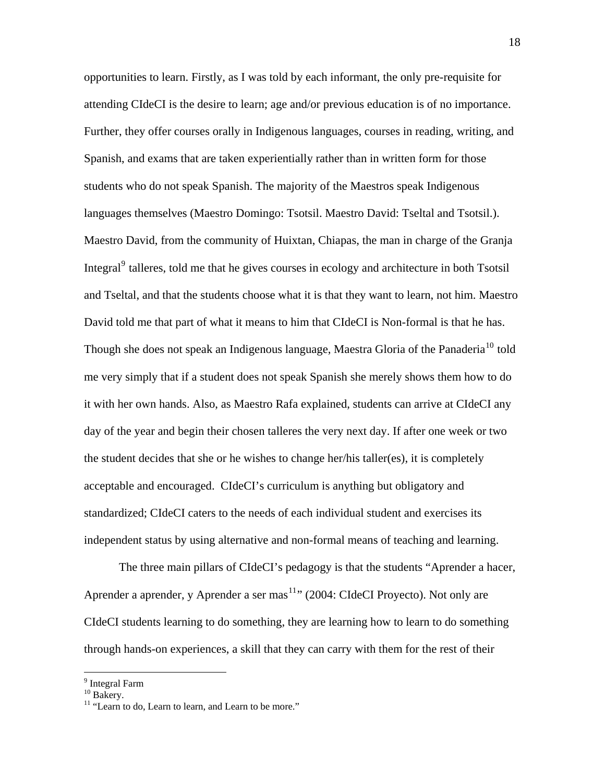opportunities to learn. Firstly, as I was told by each informant, the only pre-requisite for attending CIdeCI is the desire to learn; age and/or previous education is of no importance. Further, they offer courses orally in Indigenous languages, courses in reading, writing, and Spanish, and exams that are taken experientially rather than in written form for those students who do not speak Spanish. The majority of the Maestros speak Indigenous languages themselves (Maestro Domingo: Tsotsil. Maestro David: Tseltal and Tsotsil.). Maestro David, from the community of Huixtan, Chiapas, the man in charge of the Granja Integral<sup>[9](#page-21-0)</sup> talleres, told me that he gives courses in ecology and architecture in both Tsotsil and Tseltal, and that the students choose what it is that they want to learn, not him. Maestro David told me that part of what it means to him that CIdeCI is Non-formal is that he has. Though she does not speak an Indigenous language, Maestra Gloria of the Panaderia<sup>[10](#page-21-1)</sup> told me very simply that if a student does not speak Spanish she merely shows them how to do it with her own hands. Also, as Maestro Rafa explained, students can arrive at CIdeCI any day of the year and begin their chosen talleres the very next day. If after one week or two the student decides that she or he wishes to change her/his taller(es), it is completely acceptable and encouraged. CIdeCI's curriculum is anything but obligatory and standardized; CIdeCI caters to the needs of each individual student and exercises its independent status by using alternative and non-formal means of teaching and learning.

The three main pillars of CIdeCI's pedagogy is that the students "Aprender a hacer, Aprender a aprender, y Aprender a ser mas<sup>[11](#page-21-2)</sup>" (2004: CIdeCI Proyecto). Not only are CIdeCI students learning to do something, they are learning how to learn to do something through hands-on experiences, a skill that they can carry with them for the rest of their

<span id="page-21-0"></span><sup>&</sup>lt;sup>9</sup> Integral Farm

<span id="page-21-1"></span> $10$  Bakery.

<span id="page-21-2"></span><sup>&</sup>lt;sup>11</sup> "Learn to do, Learn to learn, and Learn to be more."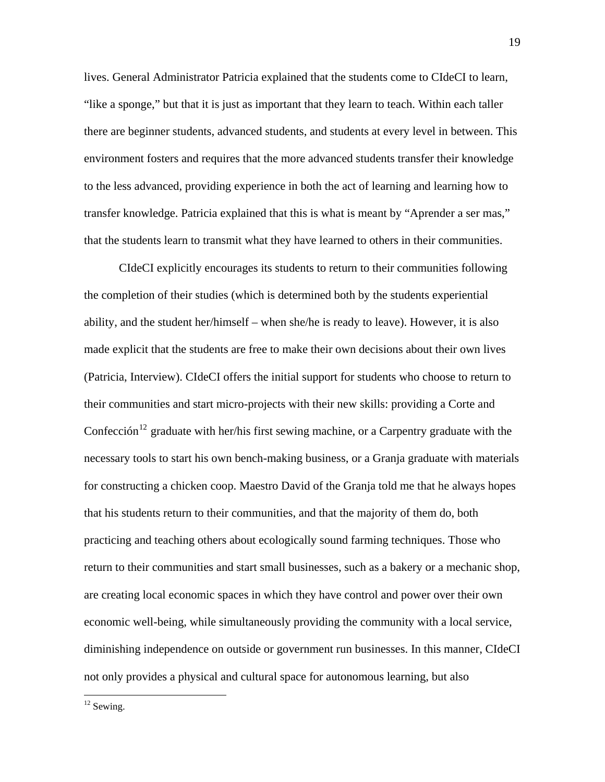lives. General Administrator Patricia explained that the students come to CIdeCI to learn, "like a sponge," but that it is just as important that they learn to teach. Within each taller there are beginner students, advanced students, and students at every level in between. This environment fosters and requires that the more advanced students transfer their knowledge to the less advanced, providing experience in both the act of learning and learning how to transfer knowledge. Patricia explained that this is what is meant by "Aprender a ser mas," that the students learn to transmit what they have learned to others in their communities.

CIdeCI explicitly encourages its students to return to their communities following the completion of their studies (which is determined both by the students experiential ability, and the student her/himself – when she/he is ready to leave). However, it is also made explicit that the students are free to make their own decisions about their own lives (Patricia, Interview). CIdeCI offers the initial support for students who choose to return to their communities and start micro-projects with their new skills: providing a Corte and Confección<sup>[12](#page-22-0)</sup> graduate with her/his first sewing machine, or a Carpentry graduate with the necessary tools to start his own bench-making business, or a Granja graduate with materials for constructing a chicken coop. Maestro David of the Granja told me that he always hopes that his students return to their communities, and that the majority of them do, both practicing and teaching others about ecologically sound farming techniques. Those who return to their communities and start small businesses, such as a bakery or a mechanic shop, are creating local economic spaces in which they have control and power over their own economic well-being, while simultaneously providing the community with a local service, diminishing independence on outside or government run businesses. In this manner, CIdeCI not only provides a physical and cultural space for autonomous learning, but also

<span id="page-22-0"></span> $12$  Sewing.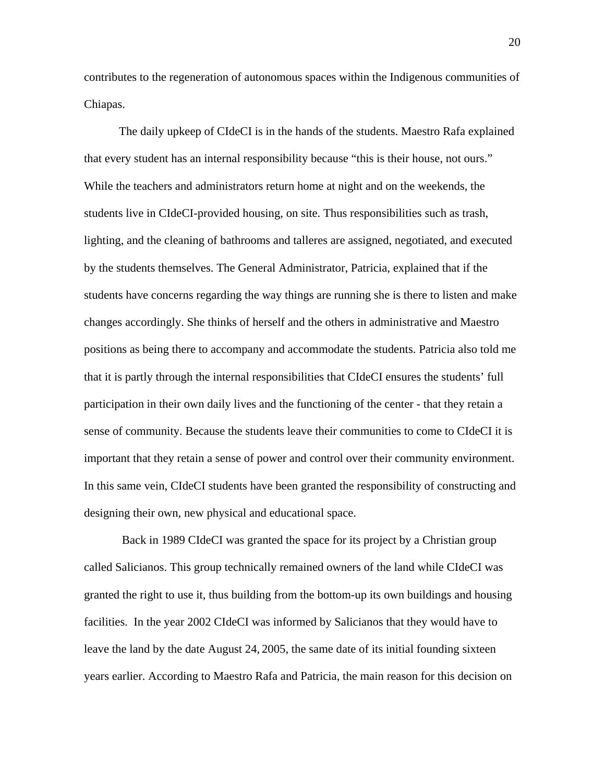contributes to the regeneration of autonomous spaces within the Indigenous communities of Chiapas.

The daily upkeep of CIdeCI is in the hands of the students. Maestro Rafa explained that every student has an internal responsibility because "this is their house, not ours." While the teachers and administrators return home at night and on the weekends, the students live in CIdeCI-provided housing, on site. Thus responsibilities such as trash, lighting, and the cleaning of bathrooms and talleres are assigned, negotiated, and executed by the students themselves. The General Administrator, Patricia, explained that if the students have concerns regarding the way things are running she is there to listen and make changes accordingly. She thinks of herself and the others in administrative and Maestro positions as being there to accompany and accommodate the students. Patricia also told me that it is partly through the internal responsibilities that CIdeCI ensures the students' full participation in their own daily lives and the functioning of the center - that they retain a sense of community. Because the students leave their communities to come to CIdeCI it is important that they retain a sense of power and control over their community environment. In this same vein, CIdeCI students have been granted the responsibility of constructing and designing their own, new physical and educational space.

 Back in 1989 CIdeCI was granted the space for its project by a Christian group called Salicianos. This group technically remained owners of the land while CIdeCI was granted the right to use it, thus building from the bottom-up its own buildings and housing facilities. In the year 2002 CIdeCI was informed by Salicianos that they would have to leave the land by the date August 24, 2005, the same date of its initial founding sixteen years earlier. According to Maestro Rafa and Patricia, the main reason for this decision on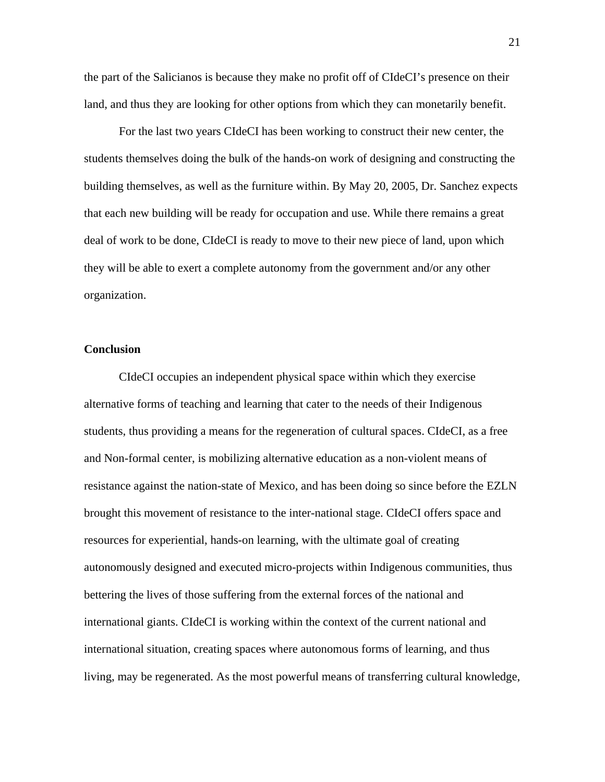the part of the Salicianos is because they make no profit off of CIdeCI's presence on their land, and thus they are looking for other options from which they can monetarily benefit.

For the last two years CIdeCI has been working to construct their new center, the students themselves doing the bulk of the hands-on work of designing and constructing the building themselves, as well as the furniture within. By May 20, 2005, Dr. Sanchez expects that each new building will be ready for occupation and use. While there remains a great deal of work to be done, CIdeCI is ready to move to their new piece of land, upon which they will be able to exert a complete autonomy from the government and/or any other organization.

#### **Conclusion**

CIdeCI occupies an independent physical space within which they exercise alternative forms of teaching and learning that cater to the needs of their Indigenous students, thus providing a means for the regeneration of cultural spaces. CIdeCI, as a free and Non-formal center, is mobilizing alternative education as a non-violent means of resistance against the nation-state of Mexico, and has been doing so since before the EZLN brought this movement of resistance to the inter-national stage. CIdeCI offers space and resources for experiential, hands-on learning, with the ultimate goal of creating autonomously designed and executed micro-projects within Indigenous communities, thus bettering the lives of those suffering from the external forces of the national and international giants. CIdeCI is working within the context of the current national and international situation, creating spaces where autonomous forms of learning, and thus living, may be regenerated. As the most powerful means of transferring cultural knowledge,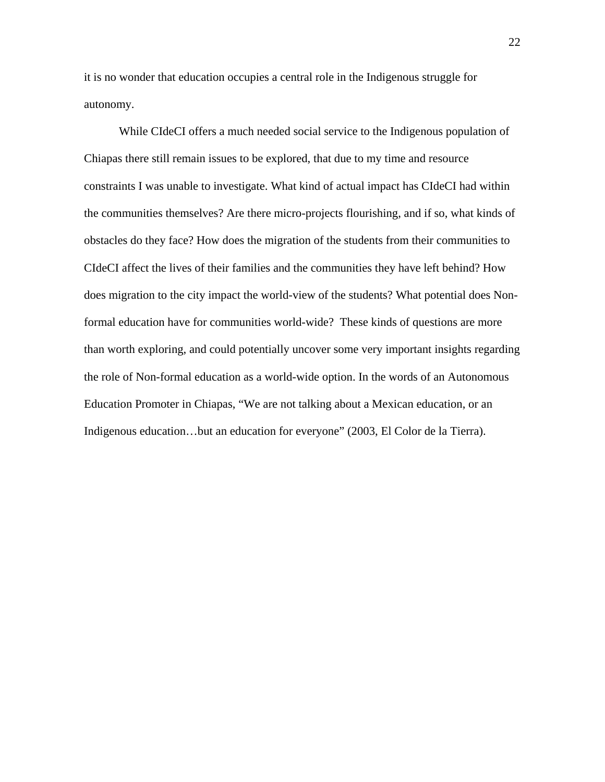it is no wonder that education occupies a central role in the Indigenous struggle for autonomy.

While CIdeCI offers a much needed social service to the Indigenous population of Chiapas there still remain issues to be explored, that due to my time and resource constraints I was unable to investigate. What kind of actual impact has CIdeCI had within the communities themselves? Are there micro-projects flourishing, and if so, what kinds of obstacles do they face? How does the migration of the students from their communities to CIdeCI affect the lives of their families and the communities they have left behind? How does migration to the city impact the world-view of the students? What potential does Nonformal education have for communities world-wide? These kinds of questions are more than worth exploring, and could potentially uncover some very important insights regarding the role of Non-formal education as a world-wide option. In the words of an Autonomous Education Promoter in Chiapas, "We are not talking about a Mexican education, or an Indigenous education…but an education for everyone" (2003, El Color de la Tierra).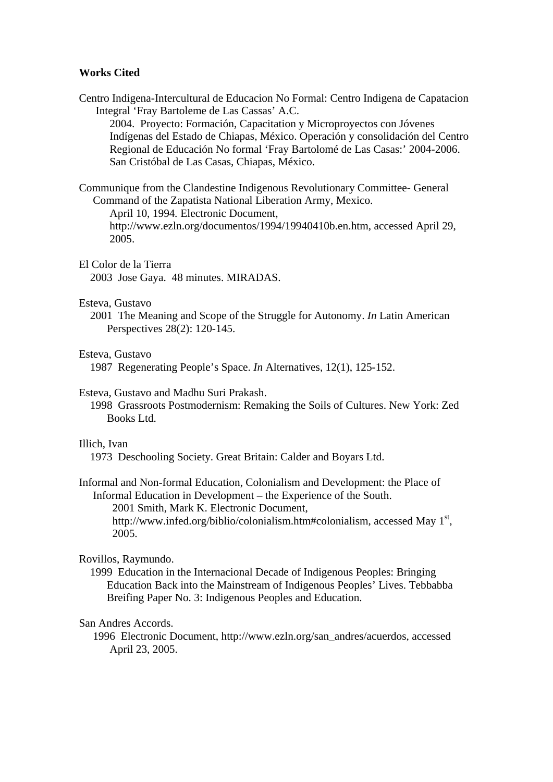#### **Works Cited**

Centro Indigena-Intercultural de Educacion No Formal: Centro Indigena de Capatacion Integral 'Fray Bartoleme de Las Cassas' A.C.

2004. Proyecto: Formación, Capacitation y Microproyectos con Jóvenes Indígenas del Estado de Chiapas, México. Operación y consolidación del Centro Regional de Educación No formal 'Fray Bartolomé de Las Casas:' 2004-2006. San Cristóbal de Las Casas, Chiapas, México.

Communique from the Clandestine Indigenous Revolutionary Committee- General Command of the Zapatista National Liberation Army, Mexico.

April 10, 1994*.* Electronic Document,

 http://www.ezln.org/documentos/1994/19940410b.en.htm, accessed April 29, 2005.

#### El Color de la Tierra

2003 Jose Gaya. 48 minutes. MIRADAS.

#### Esteva, Gustavo

2001 The Meaning and Scope of the Struggle for Autonomy. *In* Latin American Perspectives 28(2): 120-145.

#### Esteva, Gustavo

1987 Regenerating People's Space. *In* Alternatives, 12(1), 125-152.

#### Esteva, Gustavo and Madhu Suri Prakash.

1998 Grassroots Postmodernism: Remaking the Soils of Cultures. New York: Zed Books Ltd.

#### Illich, Ivan

1973 Deschooling Society. Great Britain: Calder and Boyars Ltd.

Informal and Non-formal Education, Colonialism and Development: the Place of Informal Education in Development – the Experience of the South.

 2001 Smith, Mark K. Electronic Document, http://www.infed.org/biblio/colonialism.htm#colonialism, accessed May 1<sup>st</sup>, 2005.

#### Rovillos, Raymundo.

1999 Education in the Internacional Decade of Indigenous Peoples: Bringing Education Back into the Mainstream of Indigenous Peoples' Lives. Tebbabba Breifing Paper No. 3: Indigenous Peoples and Education.

#### San Andres Accords.

1996 Electronic Document, http://www.ezln.org/san\_andres/acuerdos, accessed April 23, 2005.